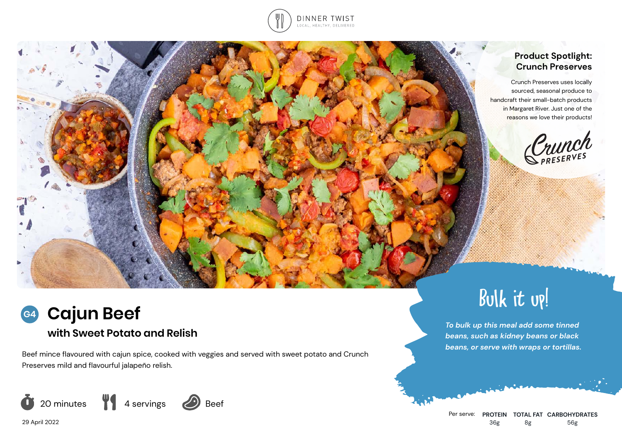

# **Product Spotlight: Crunch Preserves**

Crunch Preserves uses locally sourced, seasonal produce to handcraft their small-batch products in Margaret River. Just one of the reasons we love their products!

Crunch

# Bulk it up!

**with Sweet Potato and Relish** *To bulk up this meal add some tinned To bulk up this meal add some tinned* **<b>***To bulk up this meal add some tinned beans, such as kidney beans or black beans, or serve with wraps or tortillas.*

**Cajun Beef G4**

Beef mince flavoured with cajun spice, cooked with veggies and served with sweet potato and Crunch Preserves mild and flavourful jalapeño relish.



Per serve: **PROTEIN TOTAL FAT CARBOHYDRATES** 36g 8g 56g

29 April 2022